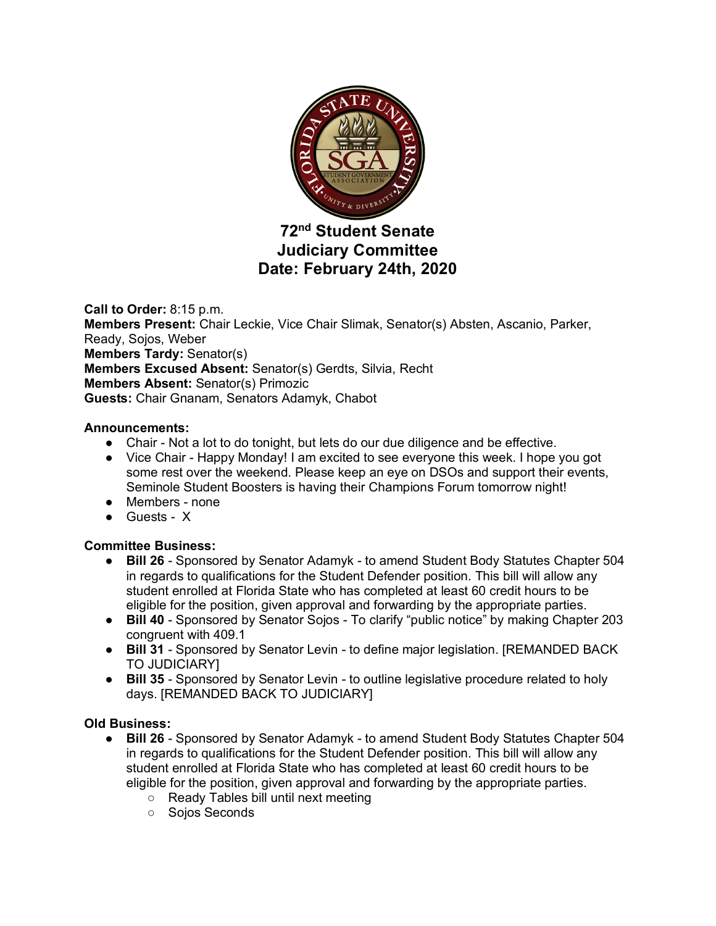

# **72nd Student Senate Judiciary Committee Date: February 24th, 2020**

**Call to Order:** 8:15 p.m. **Members Present:** Chair Leckie, Vice Chair Slimak, Senator(s) Absten, Ascanio, Parker, Ready, Sojos, Weber **Members Tardy:** Senator(s) **Members Excused Absent:** Senator(s) Gerdts, Silvia, Recht **Members Absent:** Senator(s) Primozic **Guests:** Chair Gnanam, Senators Adamyk, Chabot

## **Announcements:**

- Chair Not a lot to do tonight, but lets do our due diligence and be effective.
- Vice Chair Happy Monday! I am excited to see everyone this week. I hope you got some rest over the weekend. Please keep an eye on DSOs and support their events, Seminole Student Boosters is having their Champions Forum tomorrow night!
- Members none
- Guests X

## **Committee Business:**

- **Bill 26** Sponsored by Senator Adamyk to amend Student Body Statutes Chapter 504 in regards to qualifications for the Student Defender position. This bill will allow any student enrolled at Florida State who has completed at least 60 credit hours to be eligible for the position, given approval and forwarding by the appropriate parties.
- **Bill 40** Sponsored by Senator Sojos To clarify "public notice" by making Chapter 203 congruent with 409.1
- **Bill 31** Sponsored by Senator Levin to define major legislation. [REMANDED BACK TO JUDICIARY]
- **Bill 35** Sponsored by Senator Levin to outline legislative procedure related to holy days. [REMANDED BACK TO JUDICIARY]

## **Old Business:**

- **Bill 26** Sponsored by Senator Adamyk to amend Student Body Statutes Chapter 504 in regards to qualifications for the Student Defender position. This bill will allow any student enrolled at Florida State who has completed at least 60 credit hours to be eligible for the position, given approval and forwarding by the appropriate parties.
	- Ready Tables bill until next meeting
	- Sojos Seconds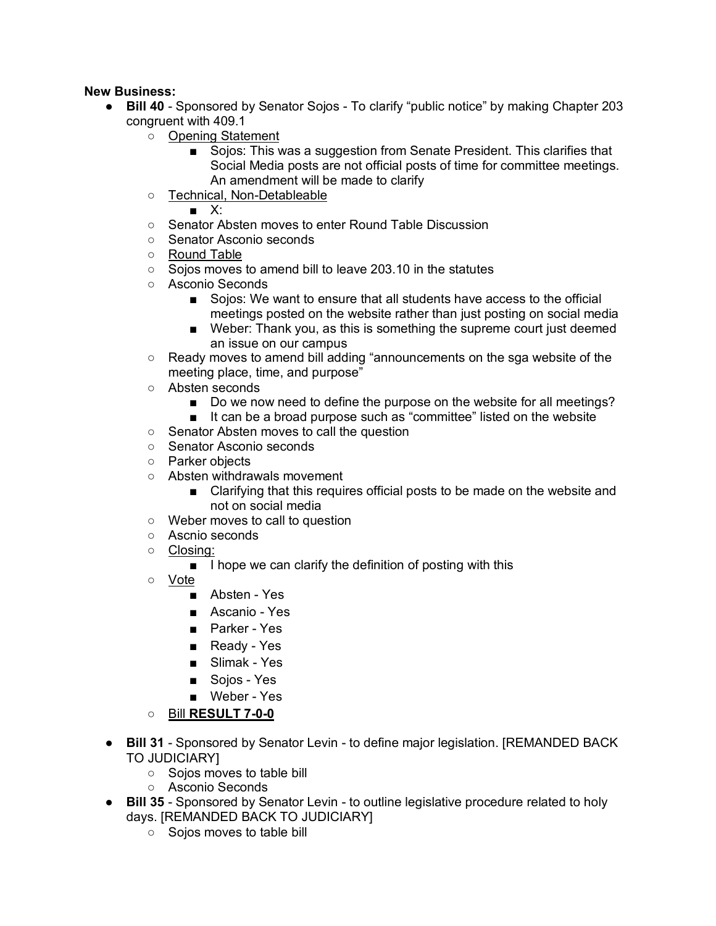## **New Business:**

- **Bill 40** Sponsored by Senator Sojos To clarify "public notice" by making Chapter 203 congruent with 409.1
	- Opening Statement
		- Sojos: This was a suggestion from Senate President. This clarifies that Social Media posts are not official posts of time for committee meetings. An amendment will be made to clarify
	- Technical, Non-Detableable

 $\blacksquare$   $X^{\perp}$ 

- Senator Absten moves to enter Round Table Discussion
- Senator Asconio seconds
- Round Table
- Sojos moves to amend bill to leave 203.10 in the statutes
- Asconio Seconds
	- Sojos: We want to ensure that all students have access to the official meetings posted on the website rather than just posting on social media
	- Weber: Thank you, as this is something the supreme court just deemed an issue on our campus
- Ready moves to amend bill adding "announcements on the sga website of the meeting place, time, and purpose"
- Absten seconds
	- Do we now need to define the purpose on the website for all meetings?
	- It can be a broad purpose such as "committee" listed on the website
- Senator Absten moves to call the question
- Senator Asconio seconds
- Parker objects
- Absten withdrawals movement
	- Clarifying that this requires official posts to be made on the website and not on social media
- Weber moves to call to question
- Ascnio seconds
- Closing:
	- I hope we can clarify the definition of posting with this
- Vote
	- Absten Yes
	- Ascanio Yes
	- Parker Yes
	- Ready Yes
	- Slimak Yes
	- Sojos Yes
	- Weber Yes
- Bill **RESULT 7-0-0**
- **Bill 31** Sponsored by Senator Levin to define major legislation. [REMANDED BACK TO JUDICIARY]
	- Sojos moves to table bill
	- Asconio Seconds
- **Bill 35** Sponsored by Senator Levin to outline legislative procedure related to holy days. [REMANDED BACK TO JUDICIARY]
	- Sojos moves to table bill